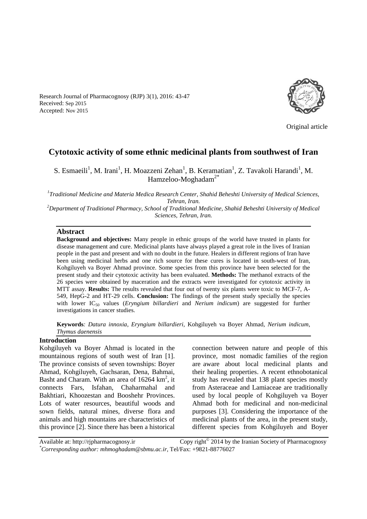Research Journal of Pharmacognosy (RJP) 3(1), 2016: 43-47 Received: Sep 2015 Accepted: Nov 2015



Original article

# **Cytotoxic activity of some ethnic medicinal plants from southwest of Iran**

S. Esmaeili<sup>1</sup>, M. Irani<sup>1</sup>, H. Moazzeni Zehan<sup>1</sup>, B. Keramatian<sup>1</sup>, Z. Tavakoli Harandi<sup>1</sup>, M. Hamzeloo-Moghadam<sup>2\*</sup>

*1 Traditional Medicine and Materia Medica Research Center, Shahid Beheshti University of Medical Sciences, Tehran, Iran.*

*<sup>2</sup>Department of Traditional Pharmacy, School of Traditional Medicine, Shahid Beheshti University of Medical Sciences, Tehran, Iran.*

#### **Abstract**

**Background and objectives:** Many people in ethnic groups of the world have trusted in plants for disease management and cure. Medicinal plants have always played a great role in the lives of Iranian people in the past and present and with no doubt in the future. Healers in different regions of Iran have been using medicinal herbs and one rich source for these cures is located in south-west of Iran, Kohgiluyeh va Boyer Ahmad province. Some species from this province have been selected for the present study and their cytotoxic activity has been evaluated. **Methods:** The methanol extracts of the 26 species were obtained by maceration and the extracts were investigated for cytotoxic activity in MTT assay. **Results:** The results revealed that four out of twenty six plants were toxic to MCF-7, A-549, HepG-2 and HT-29 cells. **Conclusion:** The findings of the present study specially the species with lower IC<sup>50</sup> values (*Eryngium billardieri* and *Nerium indicum*) are suggested for further investigations in cancer studies.

**Keywords***: Datura innoxia*, *Eryngium billardieri*, Kohgiluyeh va Boyer Ahmad, *Nerium indicum*, *Thymus daenensis*

### **Introduction**

Kohgiluyeh va Boyer Ahmad is located in the mountainous regions of south west of Iran [1]. The province consists of seven townships: Boyer Ahmad, Kohgiluyeh, Gachsaran, Dena, Bahmai, Basht and Charam. With an area of 16264 km<sup>2</sup>, it connects Fars, Isfahan, Chaharmahal and Bakhtiari, Khoozestan and Booshehr Provinces. Lots of water resources, beautiful woods and sown fields, natural mines, diverse flora and animals and high mountains are characteristics of this province [2]. Since there has been a historical

connection between nature and people of this province, most nomadic families of the region are aware about local medicinal plants and their healing properties. A recent ethnobotanical study has revealed that 138 plant species mostly from Asteraceae and Lamiaceae are traditionally used by local people of Kohgiluyeh va Boyer Ahmad both for medicinal and non-medicinal purposes [3]. Considering the importance of the medicinal plants of the area, in the present study, different species from Kohgiluyeh and Boyer

Available at: http://rjpharmacognosy.ir Copy right $^{\circ}$  2014 by the Iranian Society of Pharmacognosy *\*Corresponding author: mhmoghadam@sbmu.ac.ir,* Tel/Fax: +9821-88776027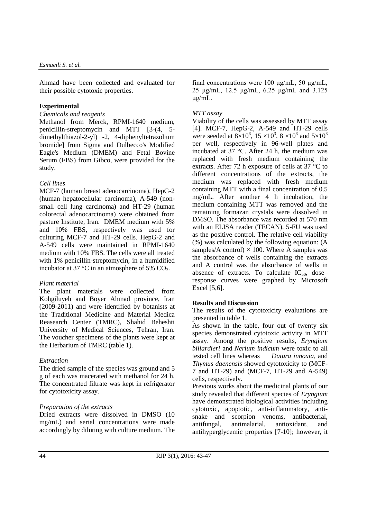Ahmad have been collected and evaluated for their possible cytotoxic properties.

### **Experimental**

#### *Chemicals and reagents*

Methanol from Merck, RPMI-1640 medium, penicillin-streptomycin and MTT [3-(4, 5 dimethylthiazol-2-yl) -2, 4-diphenyltetrazolium bromide] from Sigma and Dulbecco's Modified Eagle's Medium (DMEM) and Fetal Bovine Serum (FBS) from Gibco, were provided for the study.

# *Cell lines*

MCF-7 (human breast adenocarcinoma), HepG-2 (human hepatocellular carcinoma), A-549 (nonsmall cell lung carcinoma) and HT-29 (human colorectal adenocarcinoma) were obtained from pasture Institute, Iran. DMEM medium with 5% and 10% FBS, respectively was used for culturing MCF-7 and HT-29 cells. HepG-2 and A-549 cells were maintained in RPMI-1640 medium with 10% FBS. The cells were all treated with 1% penicillin-streptomycin, in a humidified incubator at 37  $\degree$ C in an atmosphere of 5% CO<sub>2</sub>.

### *Plant material*

The plant materials were collected from Kohgiluyeh and Boyer Ahmad province, Iran (2009-2011) and were identified by botanists at the Traditional Medicine and Material Medica Reasearch Center (TMRC), Shahid Beheshti University of Medical Sciences, Tehran, Iran. The voucher specimens of the plants were kept at the Herbarium of TMRC (table 1).

# *Extraction*

The dried sample of the species was ground and 5 g of each was macerated with methanol for 24 h. The concentrated filtrate was kept in refrigerator for cytotoxicity assay.

### *Preparation of the extracts*

Dried extracts were dissolved in DMSO (10 mg/mL) and serial concentrations were made accordingly by diluting with culture medium. The final concentrations were 100 μg/mL, 50 μg/mL, 25 μg/mL, 12.5 μg/mL, 6.25 μg/mL and 3.125 μg/mL.

# *MTT assay*

Viability of the cells was assessed by MTT assay [4]. MCF-7, HepG-2, A-549 and HT-29 cells were seeded at  $8\times10^3$ ,  $15\times10^3$ ,  $8\times10^3$  and  $5\times10^3$ per well, respectively in 96-well plates and incubated at 37 °C. After 24 h, the medium was replaced with fresh medium containing the extracts. After 72 h exposure of cells at 37 °C to different concentrations of the extracts, the medium was replaced with fresh medium containing MTT with a final concentration of 0.5 mg/mL. After another 4 h incubation, the medium containing MTT was removed and the remaining formazan crystals were dissolved in DMSO. The absorbance was recorded at 570 nm with an ELISA reader (TECAN). 5-FU was used as the positive control. The relative cell viability (%) was calculated by the following equation: (A samples/A control)  $\times$  100. Where A samples was the absorbance of wells containing the extracts and A control was the absorbance of wells in absence of extracts. To calculate  $IC_{50}$ , doseresponse curves were graphed by Microsoft Excel [5,6].

### **Results and Discussion**

The results of the cytotoxicity evaluations are presented in table 1.

As shown in the table, four out of twenty six species demonstrated cytotoxic activity in MTT assay. Among the positive results, *Eryngium billardieri* and *Nerium indicum* were toxic to all tested cell lines whereas *Datura innoxia*, and *Thymus daenensis* showed cytotoxicity to (MCF-7 and HT-29) and (MCF-7, HT-29 and A-549) cells, respectively.

Previous works about the medicinal plants of our study revealed that different species of *Eryngium* have demonstrated biological activities including cytotoxic, apoptotic, anti-inflammatory, antisnake and scorpion venoms, antibacterial, antifungal, antimalarial, antioxidant, and antihyperglycemic properties [7-10]; however, it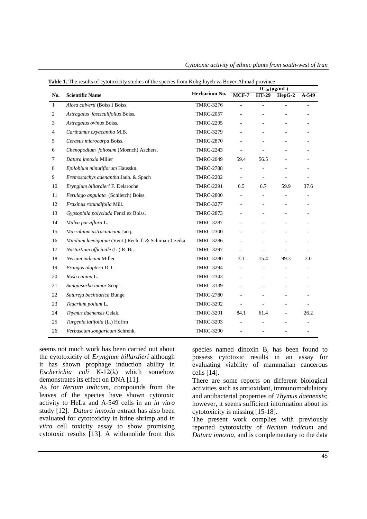|                | able 1. The results of eyestomeny statics of the species from resignation (a Doyer Thinks |                  | $IC_{50}(\mu g/mL)$          |                |          |         |
|----------------|-------------------------------------------------------------------------------------------|------------------|------------------------------|----------------|----------|---------|
| No.            | <b>Scientific Name</b>                                                                    | Herbarium No.    | $MCF-7$                      | <b>HT-29</b>   | $HepG-2$ | $A-549$ |
| $\mathbf{1}$   | Alcea calverti (Boiss.) Boiss.                                                            | <b>TMRC-3276</b> | $\overline{\phantom{0}}$     | $\blacksquare$ |          |         |
| $\overline{2}$ | Astragalus fasciculifolius Boiss.                                                         | <b>TMRC-2057</b> |                              |                |          |         |
| 3              | Astragalus ovinus Boiss.                                                                  | <b>TMRC-2295</b> |                              |                |          |         |
| 4              | Carthamus oxyacantha M.B.                                                                 | <b>TMRC-3279</b> |                              |                |          |         |
| 5              | Cerasus microcarpa Boiss.                                                                 | <b>TMRC-2870</b> |                              |                |          |         |
| 6              | Chenopodium foliosum (Moench) Aschers.                                                    | <b>TMRC-2243</b> |                              |                |          |         |
| 7              | Datura innoxia Miller                                                                     | <b>TMRC-2049</b> | 59.4                         | 56.5           |          |         |
| 8              | Epilobium minutiflorum Hausskn.                                                           | <b>TMRC-2788</b> |                              |                |          |         |
| 9              | Eremostachys adenantha Jaub. & Spach                                                      | <b>TMRC-2202</b> | $\overline{\phantom{a}}$     |                |          |         |
| 10             | Eryngium billardieri F. Delaroche                                                         | <b>TMRC-2291</b> | 6.5                          | 6.7            | 59.9     | 37.6    |
| 11             | Ferulago angulata (Schiletch) Boiss.                                                      | <b>TMRC-2800</b> |                              | $\blacksquare$ |          |         |
| 12             | Fraxinus rotundifolia Mill.                                                               | <b>TMRC-3277</b> |                              |                |          |         |
| 13             | Gypsophila polyclada Fenzl ex Boiss.                                                      | <b>TMRC-2873</b> | $\qquad \qquad \blacksquare$ | $\blacksquare$ |          |         |
| 14             | Malva parviflora L.                                                                       | <b>TMRC-3287</b> |                              |                |          |         |
| 15             | Marrubium astracanicum Jacq.                                                              | <b>TMRC-2300</b> |                              |                |          |         |
| 16             | Mindium laevigatum (Vent.) Rech. f. & Schiman-Czeika                                      | <b>TMRC-3286</b> |                              |                |          |         |
| 17             | Nasturtium officinale (L.) R. Br.                                                         | <b>TMRC-3297</b> |                              |                |          |         |
| 18             | Nerium indicum Miller                                                                     | <b>TMRC-3280</b> | 3.1                          | 15.4           | 99.3     | 2.0     |
| 19             | Prangos uloptera D.C.                                                                     | <b>TMRC-3294</b> | $\overline{\phantom{a}}$     |                |          |         |
| 20             | Rosa canina L.                                                                            | <b>TMRC-2343</b> |                              |                |          |         |
| 21             | Sanguisorba minor Scop.                                                                   | <b>TMRC-3139</b> |                              |                |          |         |
| 22             | Satureja bachtiarica Bunge                                                                | <b>TMRC-2780</b> |                              |                |          |         |
| 23             | Teucrium polium L.                                                                        | <b>TMRC-3292</b> |                              |                |          |         |
| 24             | Thymus daenensis Celak.                                                                   | <b>TMRC-3291</b> | 84.1                         | 61.4           |          | 26.2    |
| 25             | Turgenia latifolia (L.) Hoffm                                                             | <b>TMRC-3293</b> |                              |                |          |         |
| 26             | Verbascum songaricum Schrenk.                                                             | <b>TMRC-3290</b> |                              |                |          |         |

*Cytotoxic activity of ethnic plants from south-west of Iran*

|  |  |  |  |  |  | Table 1. The results of cytotoxicity studies of the species from Kohgiluyeh va Boyer Ahmad province |  |
|--|--|--|--|--|--|-----------------------------------------------------------------------------------------------------|--|
|--|--|--|--|--|--|-----------------------------------------------------------------------------------------------------|--|

seems not much work has been carried out about the cytotoxicity of *Eryngium billardieri* although it has shown prophage induction ability in *Escherichia coli* K-12(λ) which somehow demonstrates its effect on DNA [11].

As for *Nerium indicum*, compounds from the leaves of the species have shown cytotoxic activity to HeLa and A-549 cells in an *in vitro* study [12]. *Datura innoxia* extract has also been evaluated for cytotoxicity in brine shrimp and *in vitro* cell toxicity assay to show promising cytotoxic results [13]. A withanolide from this species named dinoxin B, has been found to possess cytotoxic results in an assay for evaluating viability of mammalian cancerous cells [14].

There are some reports on different biological activities such as antioxidant, immunomodulatory and antibacterial properties of *Thymus daenensis*; however, it seems sufficient information about its cytotoxicity is missing [15-18].

The present work complies with previously reported cytotoxicity of *Nerium indicum* and *Datura innoxia*, and is complementary to the data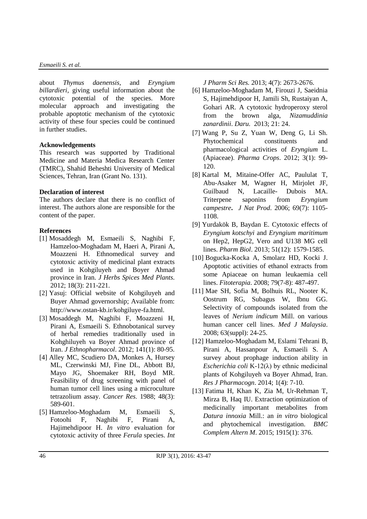#### *Esmaeili S. et al.*

about *Thymus daenensis*, and *Eryngium billardieri*, giving useful information about the cytotoxic potential of the species. More molecular approach and investigating the probable apoptotic mechanism of the cytotoxic activity of these four species could be continued in further studies.

# **Acknowledgements**

This research was supported by Traditional Medicine and Materia Medica Research Center (TMRC), Shahid Beheshti University of Medical Sciences, Tehran, Iran (Grant No. 131).

# **Declaration of interest**

The authors declare that there is no conflict of interest. The authors alone are responsible for the content of the paper.

# **References**

- [1] Mosaddegh M, Esmaeili S, Naghibi F, Hamzeloo-Moghadam M, Haeri A, Pirani A, Moazzeni H. Ethnomedical survey and cytotoxic activity of medicinal plant extracts used in Kohgiluyeh and Boyer Ahmad province in Iran. *J Herbs Spices Med Plants.* 2012; 18(3): 211-221.
- [2] Yasuj: Official website of Kohgiluyeh and Buyer Ahmad governorship; Available from: http://www.ostan-kb.ir/kohgiluye-fa.html.
- [3] Mosaddegh M, Naghibi F, Moazzeni H, Pirani A, Esmaeili S. Ethnobotanical survey of herbal remedies traditionally used in Kohghiluyeh va Boyer Ahmad province of Iran. *J Ethnopharmacol*. 2012; 141(1): 80-95.
- [4] Alley MC, Scudiero DA, Monkes A, Hursey ML, Czerwinski MJ, Fine DL, Abbott BJ, Mayo JG, Shoemaker RH, Boyd MR. Feasibility of drug screening with panel of human tumor cell lines using a microculture tetrazolium assay. *Cancer Res*. 1988; 48(3): 589-601.
- [5] Hamzeloo-Moghadam M, Esmaeili S, Fotoohi F, Naghibi F, Pirani A, Hajimehdipoor H. *In vitro* evaluation for cytotoxic activity of three *Ferula* species. *Int*

*J Pharm Sci Res.* 2013; 4(7): 2673-2676.

- [6] Hamzeloo-Moghadam M, Firouzi J, Saeidnia S, Hajimehdipoor H, Jamili Sh, Rustaiyan A, Gohari AR. A cytotoxic hydroperoxy sterol from the brown alga, *Nizamuddinia zanardinii*. *Daru.* 2013; 21: 24.
- [7] Wang P, Su Z, Yuan W, Deng G, Li Sh. Phytochemical constituents and pharmacological activities of *Eryngium* L. (Apiaceae). *Pharma Crops*. 2012; 3(1): 99- 120.
- [8] Kartal M, Mitaine-Offer AC, Paululat T, Abu-Asaker M, Wagner H, Mirjolet JF, Guilbaud N, Lacaille- Dubois MA. Triterpene saponins from *Eryngium campestre***.** *J Nat Prod*. 2006; 69(7): 1105- 1108.
- [9] Yurdakök B, Baydan E. Cytotoxic effects of *Eryngium kotschyi* and *Eryngium maritimum* on Hep2, HepG2, Vero and U138 MG cell lines. *Pharm Biol*. 2013; 51(12): 1579-1585.
- [10] Bogucka-Kocka A, Smolarz HD, Kocki J. Apoptotic activities of ethanol extracts from some Apiaceae on human leukaemia cell lines. *Fitoterapia*. 2008; 79(7-8): 487-497.
- [11] Mae SH, Sofia M, Bolhuis RL, Nooter K, Oostrum RG, Subagus W, Ibnu GG. Selectivity of compounds isolated from the leaves of *Nerium indicum* Mill. on various human cancer cell lines. *Med J Malaysia*. 2008; 63(suppl): 24-25.
- [12] Hamzeloo-Moghadam M, Eslami Tehrani B, Pirani A, Hassanpour A, Esmaeili S. A survey about prophage induction ability in *Escherichia coli* K-12(λ) by ethnic medicinal plants of Kohgiluyeh va Boyer Ahmad, Iran. *Res J Pharmacogn*. 2014; 1(4): 7-10.
- [13] Fatima H, Khan K, Zia M, Ur-Rehman T, Mirza B, Haq IU. Extraction optimization of medicinally important metabolites from *Datura innoxia* Mill.: an *in vitro* biological and phytochemical investigation. *BMC Complem Altern M*. 2015; 1915(1): 376.